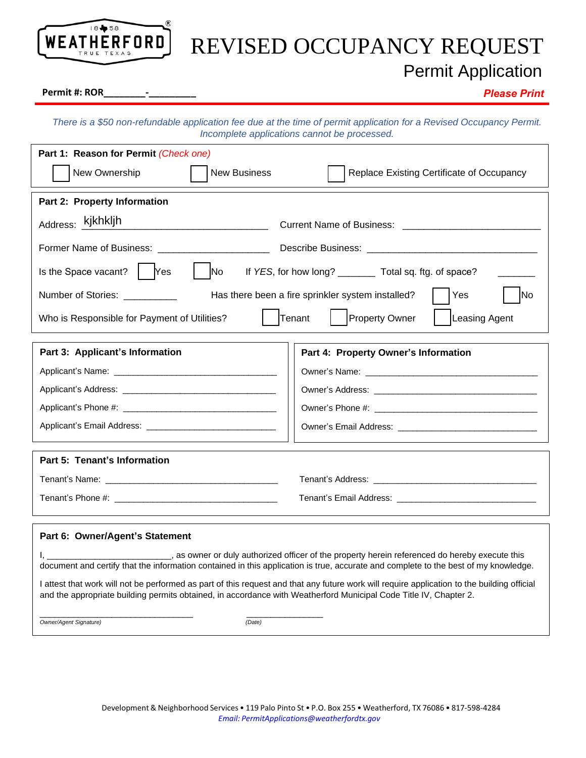

## REVISED OCCUPANCY REQUEST

Permit Application

## Permit #: ROR

*There is a \$50 non-refundable application fee due at the time of permit application for a Revised Occupancy Permit. Incomplete applications cannot be processed.*

| Part 1: Reason for Permit (Check one)                                                                                                                                                                                                                                 |                                                                                                                                                                                                                                     |  |  |
|-----------------------------------------------------------------------------------------------------------------------------------------------------------------------------------------------------------------------------------------------------------------------|-------------------------------------------------------------------------------------------------------------------------------------------------------------------------------------------------------------------------------------|--|--|
| New Ownership<br><b>New Business</b>                                                                                                                                                                                                                                  | Replace Existing Certificate of Occupancy                                                                                                                                                                                           |  |  |
| Part 2: Property Information                                                                                                                                                                                                                                          |                                                                                                                                                                                                                                     |  |  |
| Address: kjkhkljh                                                                                                                                                                                                                                                     |                                                                                                                                                                                                                                     |  |  |
| Former Name of Business: 2008. [1] Processes: 2008. [1] Processes 2008. [1] Processes 2008. [1] Processes 2008. [1] Processes 2008. [1] Processes 2008. [1] Processes 2008. [1] Processes 2008. [1] Processes 2008. [1] Proces                                        |                                                                                                                                                                                                                                     |  |  |
| Is the Space vacant? $ $ Yes<br>N <sub>o</sub><br>If YES, for how long? __________ Total sq. ftg. of space?                                                                                                                                                           |                                                                                                                                                                                                                                     |  |  |
| Has there been a fire sprinkler system installed?<br>Yes<br>Number of Stories: __________<br>N <sub>o</sub>                                                                                                                                                           |                                                                                                                                                                                                                                     |  |  |
| Property Owner<br>Tenant<br>Leasing Agent<br>Who is Responsible for Payment of Utilities?                                                                                                                                                                             |                                                                                                                                                                                                                                     |  |  |
| Part 3: Applicant's Information<br>Part 4: Property Owner's Information                                                                                                                                                                                               |                                                                                                                                                                                                                                     |  |  |
|                                                                                                                                                                                                                                                                       |                                                                                                                                                                                                                                     |  |  |
|                                                                                                                                                                                                                                                                       |                                                                                                                                                                                                                                     |  |  |
|                                                                                                                                                                                                                                                                       |                                                                                                                                                                                                                                     |  |  |
|                                                                                                                                                                                                                                                                       | Owner's Email Address: <b>Example 20</b> November 20 November 20 November 20 November 20 November 20 November 20 November 20 November 20 November 20 November 20 November 20 November 20 November 20 November 20 November 20 Novemb |  |  |
| Part 5: Tenant's Information                                                                                                                                                                                                                                          |                                                                                                                                                                                                                                     |  |  |
|                                                                                                                                                                                                                                                                       |                                                                                                                                                                                                                                     |  |  |
|                                                                                                                                                                                                                                                                       |                                                                                                                                                                                                                                     |  |  |
| Part 6: Owner/Agent's Statement                                                                                                                                                                                                                                       |                                                                                                                                                                                                                                     |  |  |
| I, _____________________________, as owner or duly authorized officer of the property herein referenced do hereby execute this<br>document and certify that the information contained in this application is true, accurate and complete to the best of my knowledge. |                                                                                                                                                                                                                                     |  |  |
| I attest that work will not be performed as part of this request and that any future work will require application to the building official<br>and the appropriate building permits obtained, in accordance with Weatherford Municipal Code Title IV, Chapter 2.      |                                                                                                                                                                                                                                     |  |  |
| Owner/Agent Signature)<br>(Date)                                                                                                                                                                                                                                      |                                                                                                                                                                                                                                     |  |  |